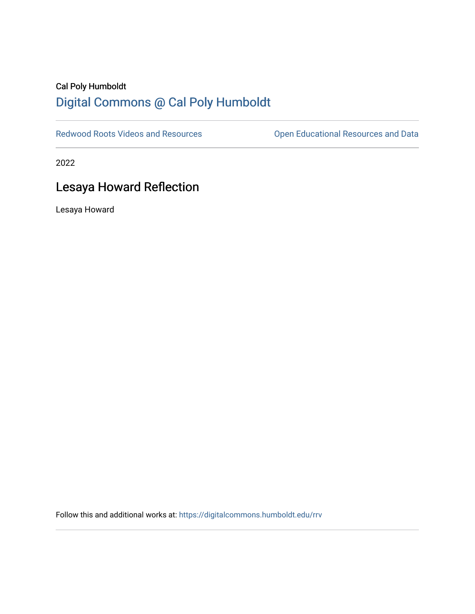## Cal Poly Humboldt [Digital Commons @ Cal Poly Humboldt](https://digitalcommons.humboldt.edu/)

[Redwood Roots Videos and Resources](https://digitalcommons.humboldt.edu/rrv) **Conservational Resources and Data** 

2022

## Lesaya Howard Reflection

Lesaya Howard

Follow this and additional works at: [https://digitalcommons.humboldt.edu/rrv](https://digitalcommons.humboldt.edu/rrv?utm_source=digitalcommons.humboldt.edu%2Frrv%2F19&utm_medium=PDF&utm_campaign=PDFCoverPages)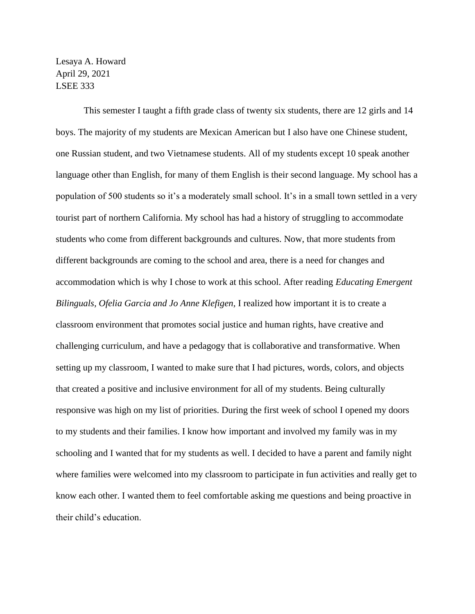Lesaya A. Howard April 29, 2021 LSEE 333

This semester I taught a fifth grade class of twenty six students, there are 12 girls and 14 boys. The majority of my students are Mexican American but I also have one Chinese student, one Russian student, and two Vietnamese students. All of my students except 10 speak another language other than English, for many of them English is their second language. My school has a population of 500 students so it's a moderately small school. It's in a small town settled in a very tourist part of northern California. My school has had a history of struggling to accommodate students who come from different backgrounds and cultures. Now, that more students from different backgrounds are coming to the school and area, there is a need for changes and accommodation which is why I chose to work at this school. After reading *Educating Emergent Bilinguals, Ofelia Garcia and Jo Anne Klefigen,* I realized how important it is to create a classroom environment that promotes social justice and human rights, have creative and challenging curriculum, and have a pedagogy that is collaborative and transformative. When setting up my classroom, I wanted to make sure that I had pictures, words, colors, and objects that created a positive and inclusive environment for all of my students. Being culturally responsive was high on my list of priorities. During the first week of school I opened my doors to my students and their families. I know how important and involved my family was in my schooling and I wanted that for my students as well. I decided to have a parent and family night where families were welcomed into my classroom to participate in fun activities and really get to know each other. I wanted them to feel comfortable asking me questions and being proactive in their child's education.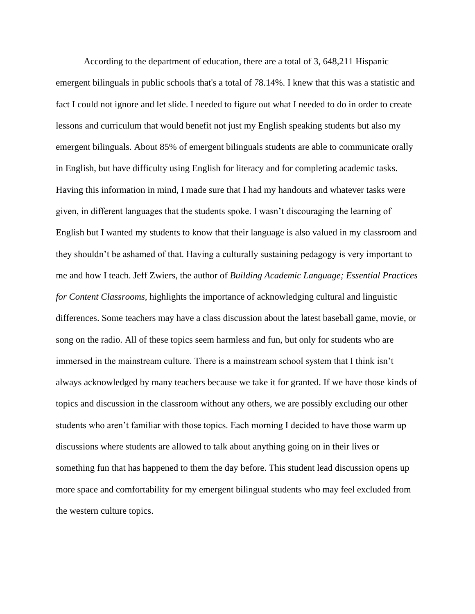According to the department of education, there are a total of 3, 648,211 Hispanic emergent bilinguals in public schools that's a total of 78.14%. I knew that this was a statistic and fact I could not ignore and let slide. I needed to figure out what I needed to do in order to create lessons and curriculum that would benefit not just my English speaking students but also my emergent bilinguals. About 85% of emergent bilinguals students are able to communicate orally in English, but have difficulty using English for literacy and for completing academic tasks. Having this information in mind, I made sure that I had my handouts and whatever tasks were given, in different languages that the students spoke. I wasn't discouraging the learning of English but I wanted my students to know that their language is also valued in my classroom and they shouldn't be ashamed of that. Having a culturally sustaining pedagogy is very important to me and how I teach. Jeff Zwiers, the author of *Building Academic Language; Essential Practices for Content Classrooms,* highlights the importance of acknowledging cultural and linguistic differences. Some teachers may have a class discussion about the latest baseball game, movie, or song on the radio. All of these topics seem harmless and fun, but only for students who are immersed in the mainstream culture. There is a mainstream school system that I think isn't always acknowledged by many teachers because we take it for granted. If we have those kinds of topics and discussion in the classroom without any others, we are possibly excluding our other students who aren't familiar with those topics. Each morning I decided to have those warm up discussions where students are allowed to talk about anything going on in their lives or something fun that has happened to them the day before. This student lead discussion opens up more space and comfortability for my emergent bilingual students who may feel excluded from the western culture topics.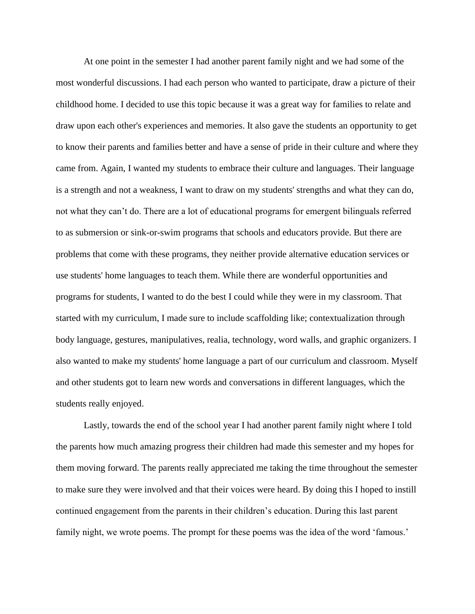At one point in the semester I had another parent family night and we had some of the most wonderful discussions. I had each person who wanted to participate, draw a picture of their childhood home. I decided to use this topic because it was a great way for families to relate and draw upon each other's experiences and memories. It also gave the students an opportunity to get to know their parents and families better and have a sense of pride in their culture and where they came from. Again, I wanted my students to embrace their culture and languages. Their language is a strength and not a weakness, I want to draw on my students' strengths and what they can do, not what they can't do. There are a lot of educational programs for emergent bilinguals referred to as submersion or sink-or-swim programs that schools and educators provide. But there are problems that come with these programs, they neither provide alternative education services or use students' home languages to teach them. While there are wonderful opportunities and programs for students, I wanted to do the best I could while they were in my classroom. That started with my curriculum, I made sure to include scaffolding like; contextualization through body language, gestures, manipulatives, realia, technology, word walls, and graphic organizers. I also wanted to make my students' home language a part of our curriculum and classroom. Myself and other students got to learn new words and conversations in different languages, which the students really enjoyed.

Lastly, towards the end of the school year I had another parent family night where I told the parents how much amazing progress their children had made this semester and my hopes for them moving forward. The parents really appreciated me taking the time throughout the semester to make sure they were involved and that their voices were heard. By doing this I hoped to instill continued engagement from the parents in their children's education. During this last parent family night, we wrote poems. The prompt for these poems was the idea of the word 'famous.'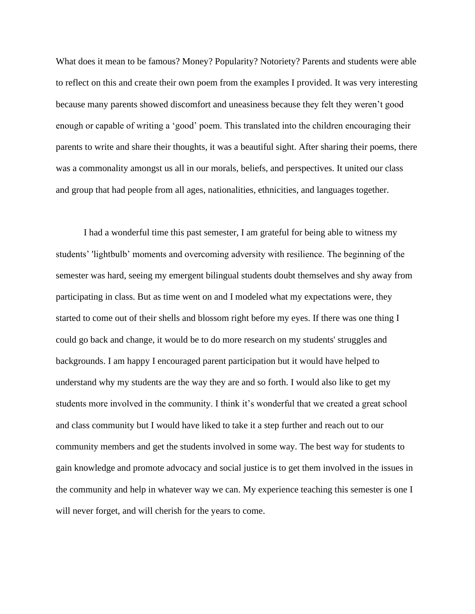What does it mean to be famous? Money? Popularity? Notoriety? Parents and students were able to reflect on this and create their own poem from the examples I provided. It was very interesting because many parents showed discomfort and uneasiness because they felt they weren't good enough or capable of writing a 'good' poem. This translated into the children encouraging their parents to write and share their thoughts, it was a beautiful sight. After sharing their poems, there was a commonality amongst us all in our morals, beliefs, and perspectives. It united our class and group that had people from all ages, nationalities, ethnicities, and languages together.

I had a wonderful time this past semester, I am grateful for being able to witness my students' 'lightbulb' moments and overcoming adversity with resilience. The beginning of the semester was hard, seeing my emergent bilingual students doubt themselves and shy away from participating in class. But as time went on and I modeled what my expectations were, they started to come out of their shells and blossom right before my eyes. If there was one thing I could go back and change, it would be to do more research on my students' struggles and backgrounds. I am happy I encouraged parent participation but it would have helped to understand why my students are the way they are and so forth. I would also like to get my students more involved in the community. I think it's wonderful that we created a great school and class community but I would have liked to take it a step further and reach out to our community members and get the students involved in some way. The best way for students to gain knowledge and promote advocacy and social justice is to get them involved in the issues in the community and help in whatever way we can. My experience teaching this semester is one I will never forget, and will cherish for the years to come.